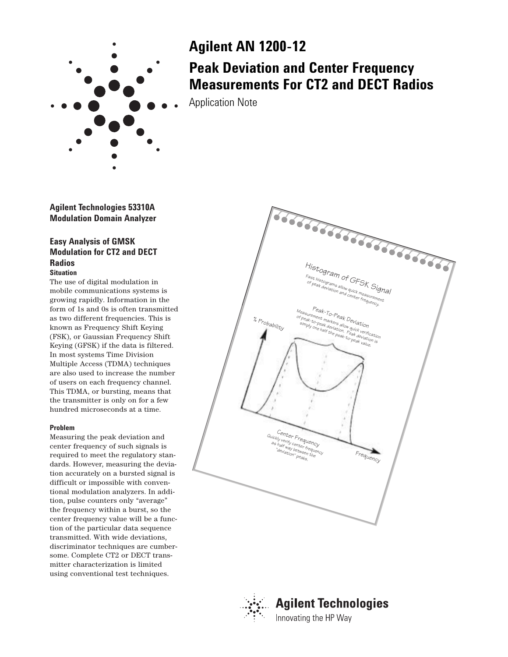

# **Agilent AN 1200-12**

# **Peak Deviation and Center Frequency Measurements For CT2 and DECT Radios**

Application Note

**Agilent Technologies 53310A Modulation Domain Analyzer**

## **Easy Analysis of GMSK Modulation for CT2 and DECT Radios Situation**

The use of digital modulation in mobile communications systems is growing rapidly. Information in the form of 1s and 0s is often transmitted as two different frequencies. This is known as Frequency Shift Keying (FSK), or Gaussian Frequency Shift Keying (GFSK) if the data is filtered. In most systems Time Division Multiple Access (TDMA) techniques are also used to increase the number of users on each frequency channel. This TDMA, or bursting, means that the transmitter is only on for a few hundred microseconds at a time.

### **Problem**

Measuring the peak deviation and center frequency of such signals is required to meet the regulatory standards. However, measuring the deviation accurately on a bursted signal is difficult or impossible with conventional modulation analyzers. In addition, pulse counters only "average" the frequency within a burst, so the center frequency value will be a function of the particular data sequence transmitted. With wide deviations, discriminator techniques are cumbersome. Complete CT2 or DECT transmitter characterization is limited using conventional test techniques.





# **Agilent Technologies** Innovating the HP Way